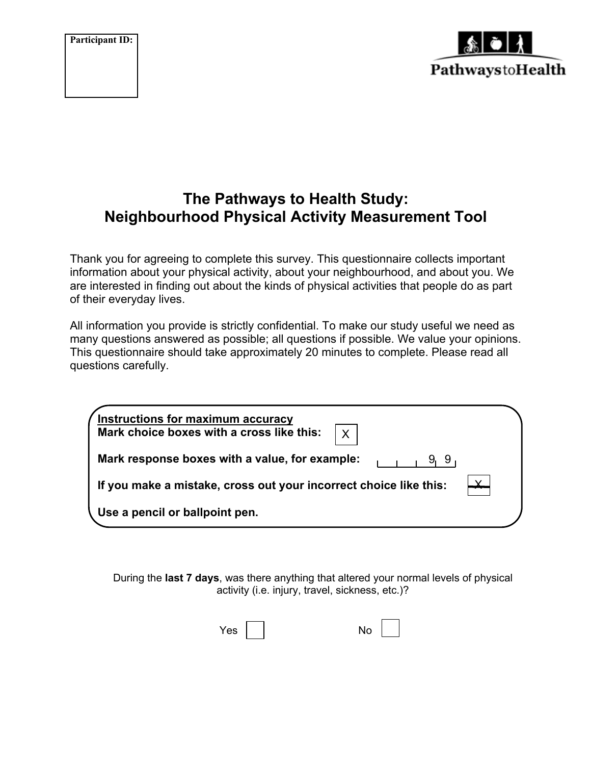**Participant ID:**



# **The Pathways to Health Study: Neighbourhood Physical Activity Measurement Tool**

Thank you for agreeing to complete this survey. This questionnaire collects important information about your physical activity, about your neighbourhood, and about you. We are interested in finding out about the kinds of physical activities that people do as part of their everyday lives.

All information you provide is strictly confidential. To make our study useful we need as many questions answered as possible; all questions if possible. We value your opinions. This questionnaire should take approximately 20 minutes to complete. Please read all questions carefully.

| <b>Instructions for maximum accuracy</b><br>Mark choice boxes with a cross like this:<br>$\sf X$ |  |
|--------------------------------------------------------------------------------------------------|--|
| Mark response boxes with a value, for example:<br>9, 9                                           |  |
| If you make a mistake, cross out your incorrect choice like this:                                |  |
| Use a pencil or ballpoint pen.                                                                   |  |

During the **last 7 days**, was there anything that altered your normal levels of physical activity (i.e. injury, travel, sickness, etc.)?

| Yes |  | No |  |
|-----|--|----|--|
|-----|--|----|--|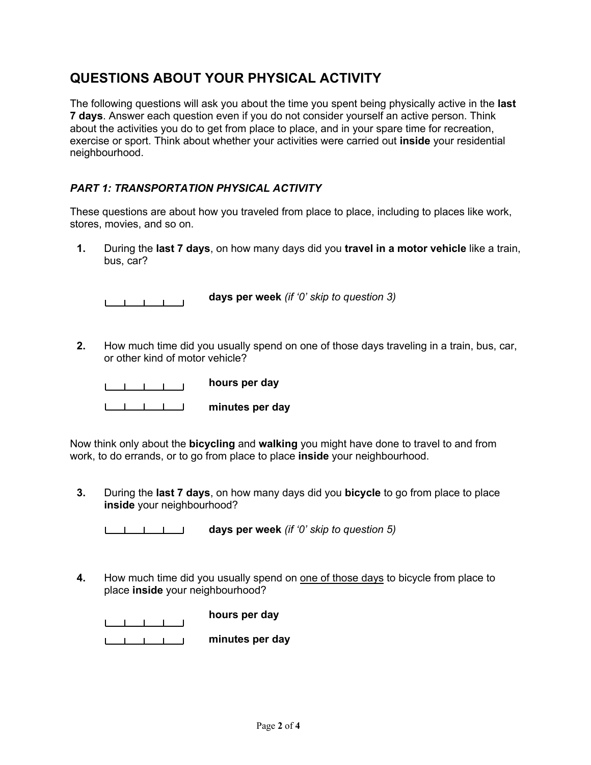# **QUESTIONS ABOUT YOUR PHYSICAL ACTIVITY**

The following questions will ask you about the time you spent being physically active in the **last 7 days**. Answer each question even if you do not consider yourself an active person. Think about the activities you do to get from place to place, and in your spare time for recreation, exercise or sport. Think about whether your activities were carried out **inside** your residential neighbourhood.

### *PART 1: TRANSPORTATION PHYSICAL ACTIVITY*

These questions are about how you traveled from place to place, including to places like work, stores, movies, and so on.

**1.** During the **last 7 days**, on how many days did you **travel in a motor vehicle** like a train, bus, car?

**days per week** *(if '0' skip to question 3)*

**2.** How much time did you usually spend on one of those days traveling in a train, bus, car, or other kind of motor vehicle?

**hours per day** 

**minutes per day**

Now think only about the **bicycling** and **walking** you might have done to travel to and from work, to do errands, or to go from place to place **inside** your neighbourhood.

**3.** During the **last 7 days**, on how many days did you **bicycle** to go from place to place **inside** your neighbourhood?

**days per week** *(if '0' skip to question 5)*

**4.** How much time did you usually spend on one of those days to bicycle from place to place **inside** your neighbourhood?

|  |  | hours per day   |
|--|--|-----------------|
|  |  | minutes per day |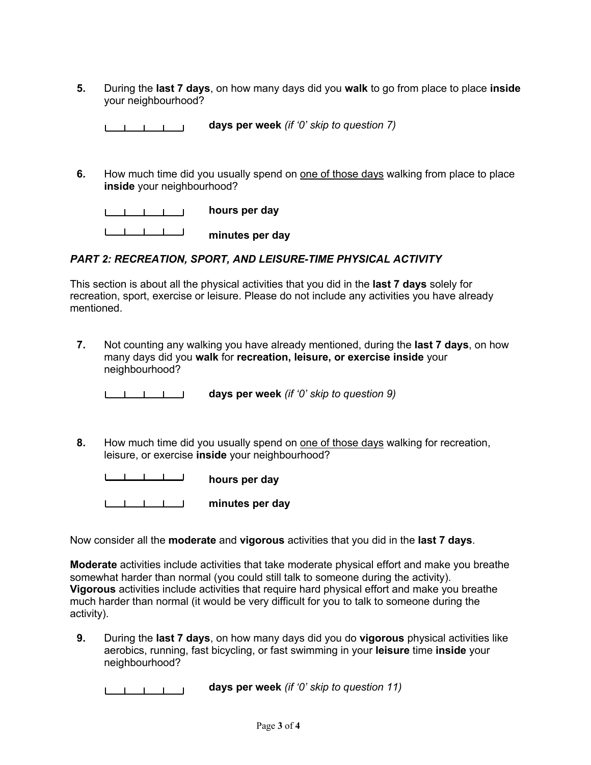**5.** During the **last 7 days**, on how many days did you **walk** to go from place to place **inside**  your neighbourhood?

|  | days per week (if '0' skip to question $7$ ) |  |
|--|----------------------------------------------|--|
|--|----------------------------------------------|--|

**6.** How much time did you usually spend on one of those days walking from place to place **inside** your neighbourhood?

|  |  | hours per day   |
|--|--|-----------------|
|  |  | minutes per day |

#### *PART 2: RECREATION, SPORT, AND LEISURE-TIME PHYSICAL ACTIVITY*

This section is about all the physical activities that you did in the **last 7 days** solely for recreation, sport, exercise or leisure. Please do not include any activities you have already mentioned.

**7.** Not counting any walking you have already mentioned, during the **last 7 days**, on how many days did you **walk** for **recreation, leisure, or exercise inside** your neighbourhood?

**days per week** *(if '0' skip to question 9)*

**8.** How much time did you usually spend on one of those days walking for recreation, leisure, or exercise **inside** your neighbourhood?

**hours per day minutes per day**

Now consider all the **moderate** and **vigorous** activities that you did in the **last 7 days**.

**Moderate** activities include activities that take moderate physical effort and make you breathe somewhat harder than normal (you could still talk to someone during the activity). **Vigorous** activities include activities that require hard physical effort and make you breathe much harder than normal (it would be very difficult for you to talk to someone during the activity).

**9.** During the **last 7 days**, on how many days did you do **vigorous** physical activities like aerobics, running, fast bicycling, or fast swimming in your **leisure** time **inside** your neighbourhood?

**days per week** *(if '0' skip to question 11)*المستلمس المسا